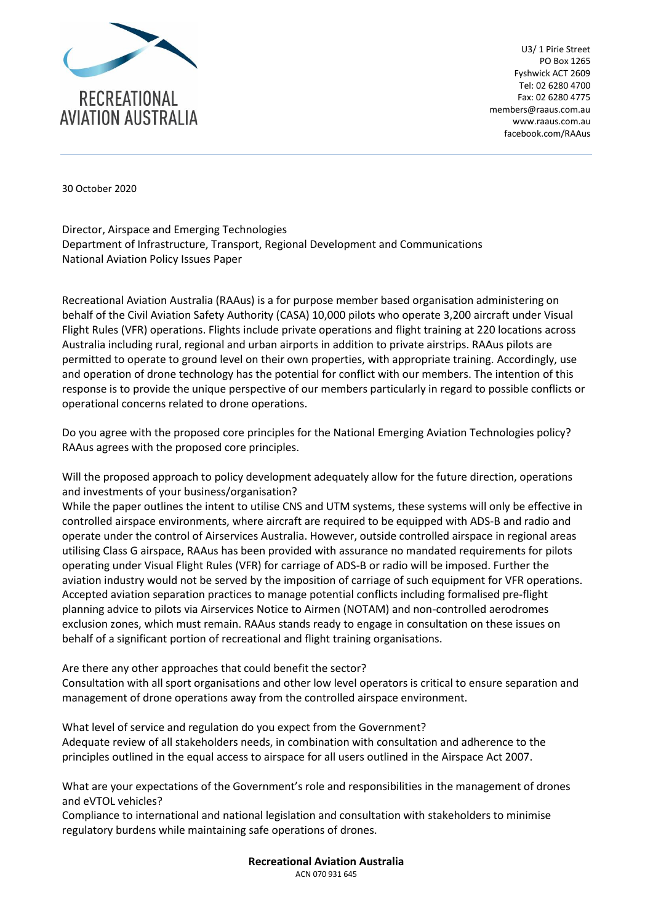

U3/ 1 Pirie Street PO Box 1265 Fyshwick ACT 2609 Tel: 02 6280 4700 Fax: 02 6280 4775 members@raaus.com.au www.raaus.com.au facebook.com/RAAus

30 October 2020

Director, Airspace and Emerging Technologies Department of Infrastructure, Transport, Regional Development and Communications National Aviation Policy Issues Paper

Recreational Aviation Australia (RAAus) is a for purpose member based organisation administering on behalf of the Civil Aviation Safety Authority (CASA) 10,000 pilots who operate 3,200 aircraft under Visual Flight Rules (VFR) operations. Flights include private operations and flight training at 220 locations across Australia including rural, regional and urban airports in addition to private airstrips. RAAus pilots are permitted to operate to ground level on their own properties, with appropriate training. Accordingly, use and operation of drone technology has the potential for conflict with our members. The intention of this response is to provide the unique perspective of our members particularly in regard to possible conflicts or operational concerns related to drone operations.

Do you agree with the proposed core principles for the National Emerging Aviation Technologies policy? RAAus agrees with the proposed core principles.

Will the proposed approach to policy development adequately allow for the future direction, operations and investments of your business/organisation?

While the paper outlines the intent to utilise CNS and UTM systems, these systems will only be effective in controlled airspace environments, where aircraft are required to be equipped with ADS-B and radio and operate under the control of Airservices Australia. However, outside controlled airspace in regional areas utilising Class G airspace, RAAus has been provided with assurance no mandated requirements for pilots operating under Visual Flight Rules (VFR) for carriage of ADS-B or radio will be imposed. Further the aviation industry would not be served by the imposition of carriage of such equipment for VFR operations. Accepted aviation separation practices to manage potential conflicts including formalised pre-flight planning advice to pilots via Airservices Notice to Airmen (NOTAM) and non-controlled aerodromes exclusion zones, which must remain. RAAus stands ready to engage in consultation on these issues on behalf of a significant portion of recreational and flight training organisations.

Are there any other approaches that could benefit the sector?

Consultation with all sport organisations and other low level operators is critical to ensure separation and management of drone operations away from the controlled airspace environment.

What level of service and regulation do you expect from the Government? Adequate review of all stakeholders needs, in combination with consultation and adherence to the principles outlined in the equal access to airspace for all users outlined in the Airspace Act 2007.

What are your expectations of the Government's role and responsibilities in the management of drones and eVTOL vehicles?

Compliance to international and national legislation and consultation with stakeholders to minimise regulatory burdens while maintaining safe operations of drones.

> **Recreational Aviation Australia** ACN 070 931 645